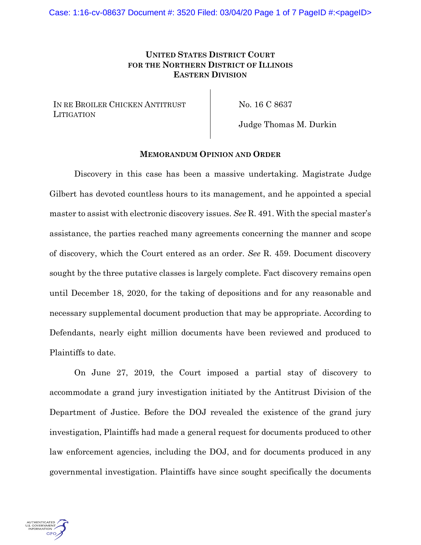## **UNITED STATES DISTRICT COURT FOR THE NORTHERN DISTRICT OF ILLINOIS EASTERN DIVISION**

IN RE BROILER CHICKEN ANTITRUST **LITIGATION** 

No. 16 C 8637

Judge Thomas M. Durkin

## **MEMORANDUM OPINION AND ORDER**

Discovery in this case has been a massive undertaking. Magistrate Judge Gilbert has devoted countless hours to its management, and he appointed a special master to assist with electronic discovery issues. *See* R. 491. With the special master's assistance, the parties reached many agreements concerning the manner and scope of discovery, which the Court entered as an order. *See* R. 459. Document discovery sought by the three putative classes is largely complete. Fact discovery remains open until December 18, 2020, for the taking of depositions and for any reasonable and necessary supplemental document production that may be appropriate. According to Defendants, nearly eight million documents have been reviewed and produced to Plaintiffs to date.

On June 27, 2019, the Court imposed a partial stay of discovery to accommodate a grand jury investigation initiated by the Antitrust Division of the Department of Justice. Before the DOJ revealed the existence of the grand jury investigation, Plaintiffs had made a general request for documents produced to other law enforcement agencies, including the DOJ, and for documents produced in any governmental investigation. Plaintiffs have since sought specifically the documents

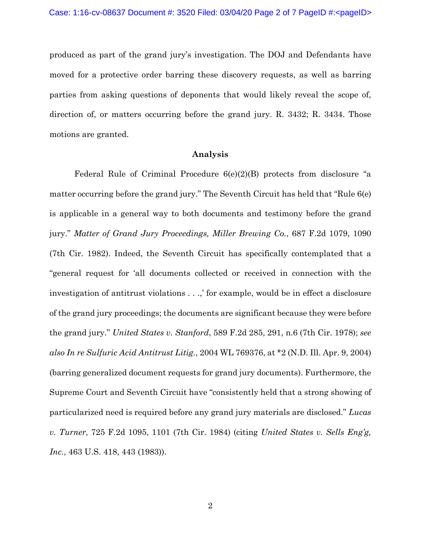produced as part of the grand jury's investigation. The DOJ and Defendants have moved for a protective order barring these discovery requests, as well as barring parties from asking questions of deponents that would likely reveal the scope of, direction of, or matters occurring before the grand jury. R. 3432; R. 3434. Those motions are granted.

## **Analysis**

Federal Rule of Criminal Procedure  $6(e)(2)(B)$  protects from disclosure "a matter occurring before the grand jury." The Seventh Circuit has held that "Rule 6(e) is applicable in a general way to both documents and testimony before the grand jury." *Matter of Grand Jury Proceedings, Miller Brewing Co.*, 687 F.2d 1079, 1090 (7th Cir. 1982). Indeed, the Seventh Circuit has specifically contemplated that a "general request for 'all documents collected or received in connection with the investigation of antitrust violations . . .,' for example, would be in effect a disclosure of the grand jury proceedings; the documents are significant because they were before the grand jury." *United States v. Stanford*, 589 F.2d 285, 291, n.6 (7th Cir. 1978); *see also In re Sulfuric Acid Antitrust Litig.*, 2004 WL 769376, at \*2 (N.D. Ill. Apr. 9, 2004) (barring generalized document requests for grand jury documents). Furthermore, the Supreme Court and Seventh Circuit have "consistently held that a strong showing of particularized need is required before any grand jury materials are disclosed." *Lucas v. Turner*, 725 F.2d 1095, 1101 (7th Cir. 1984) (citing *United States v. Sells Eng'g, Inc.*, 463 U.S. 418, 443 (1983)).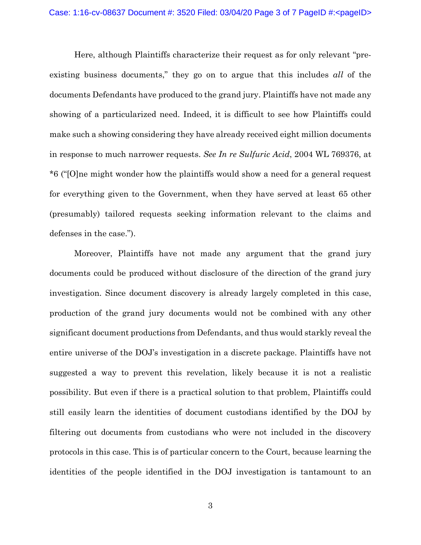Here, although Plaintiffs characterize their request as for only relevant "preexisting business documents," they go on to argue that this includes *all* of the documents Defendants have produced to the grand jury. Plaintiffs have not made any showing of a particularized need. Indeed, it is difficult to see how Plaintiffs could make such a showing considering they have already received eight million documents in response to much narrower requests. *See In re Sulfuric Acid*, 2004 WL 769376, at \*6 ("[O]ne might wonder how the plaintiffs would show a need for a general request for everything given to the Government, when they have served at least 65 other (presumably) tailored requests seeking information relevant to the claims and defenses in the case.").

Moreover, Plaintiffs have not made any argument that the grand jury documents could be produced without disclosure of the direction of the grand jury investigation. Since document discovery is already largely completed in this case, production of the grand jury documents would not be combined with any other significant document productions from Defendants, and thus would starkly reveal the entire universe of the DOJ's investigation in a discrete package. Plaintiffs have not suggested a way to prevent this revelation, likely because it is not a realistic possibility. But even if there is a practical solution to that problem, Plaintiffs could still easily learn the identities of document custodians identified by the DOJ by filtering out documents from custodians who were not included in the discovery protocols in this case. This is of particular concern to the Court, because learning the identities of the people identified in the DOJ investigation is tantamount to an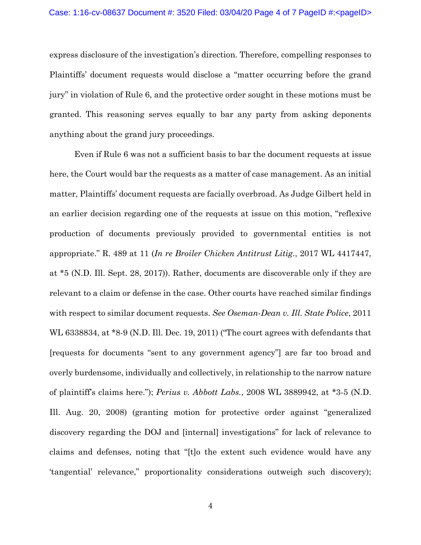express disclosure of the investigation's direction. Therefore, compelling responses to Plaintiffs' document requests would disclose a "matter occurring before the grand jury" in violation of Rule 6, and the protective order sought in these motions must be granted. This reasoning serves equally to bar any party from asking deponents anything about the grand jury proceedings.

Even if Rule 6 was not a sufficient basis to bar the document requests at issue here, the Court would bar the requests as a matter of case management. As an initial matter, Plaintiffs' document requests are facially overbroad. As Judge Gilbert held in an earlier decision regarding one of the requests at issue on this motion, "reflexive production of documents previously provided to governmental entities is not appropriate." R. 489 at 11 (*In re Broiler Chicken Antitrust Litig.*, 2017 WL 4417447, at \*5 (N.D. Ill. Sept. 28, 2017)). Rather, documents are discoverable only if they are relevant to a claim or defense in the case. Other courts have reached similar findings with respect to similar document requests. *See Oseman-Dean v. Ill. State Police*, 2011 WL 6338834, at \*8-9 (N.D. Ill. Dec. 19, 2011) ("The court agrees with defendants that [requests for documents "sent to any government agency"] are far too broad and overly burdensome, individually and collectively, in relationship to the narrow nature of plaintiff's claims here."); *Perius v. Abbott Labs.*, 2008 WL 3889942, at \*3-5 (N.D. Ill. Aug. 20, 2008) (granting motion for protective order against "generalized discovery regarding the DOJ and [internal] investigations" for lack of relevance to claims and defenses, noting that "[t]o the extent such evidence would have any 'tangential' relevance," proportionality considerations outweigh such discovery);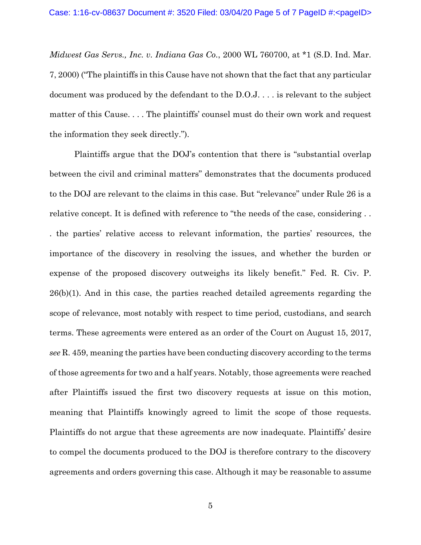*Midwest Gas Servs., Inc. v. Indiana Gas Co.*, 2000 WL 760700, at \*1 (S.D. Ind. Mar. 7, 2000) ("The plaintiffs in this Cause have not shown that the fact that any particular document was produced by the defendant to the D.O.J. . . . is relevant to the subject matter of this Cause. . . . The plaintiffs' counsel must do their own work and request the information they seek directly.").

Plaintiffs argue that the DOJ's contention that there is "substantial overlap between the civil and criminal matters" demonstrates that the documents produced to the DOJ are relevant to the claims in this case. But "relevance" under Rule 26 is a relative concept. It is defined with reference to "the needs of the case, considering . . . the parties' relative access to relevant information, the parties' resources, the importance of the discovery in resolving the issues, and whether the burden or expense of the proposed discovery outweighs its likely benefit." Fed. R. Civ. P.  $26(b)(1)$ . And in this case, the parties reached detailed agreements regarding the scope of relevance, most notably with respect to time period, custodians, and search terms. These agreements were entered as an order of the Court on August 15, 2017, *see* R. 459, meaning the parties have been conducting discovery according to the terms of those agreements for two and a half years. Notably, those agreements were reached after Plaintiffs issued the first two discovery requests at issue on this motion, meaning that Plaintiffs knowingly agreed to limit the scope of those requests. Plaintiffs do not argue that these agreements are now inadequate. Plaintiffs' desire to compel the documents produced to the DOJ is therefore contrary to the discovery agreements and orders governing this case. Although it may be reasonable to assume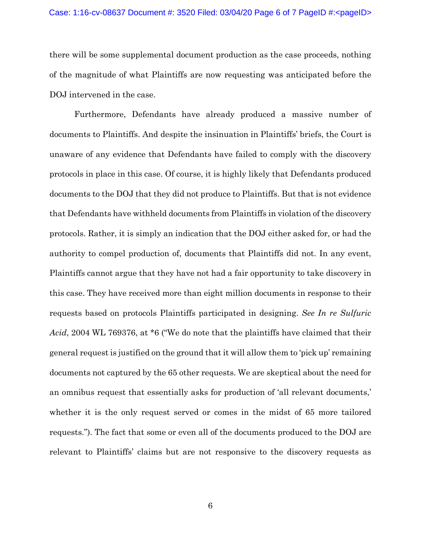there will be some supplemental document production as the case proceeds, nothing of the magnitude of what Plaintiffs are now requesting was anticipated before the DOJ intervened in the case.

Furthermore, Defendants have already produced a massive number of documents to Plaintiffs. And despite the insinuation in Plaintiffs' briefs, the Court is unaware of any evidence that Defendants have failed to comply with the discovery protocols in place in this case. Of course, it is highly likely that Defendants produced documents to the DOJ that they did not produce to Plaintiffs. But that is not evidence that Defendants have withheld documents from Plaintiffs in violation of the discovery protocols. Rather, it is simply an indication that the DOJ either asked for, or had the authority to compel production of, documents that Plaintiffs did not. In any event, Plaintiffs cannot argue that they have not had a fair opportunity to take discovery in this case. They have received more than eight million documents in response to their requests based on protocols Plaintiffs participated in designing. *See In re Sulfuric Acid*, 2004 WL 769376, at \*6 ("We do note that the plaintiffs have claimed that their general request is justified on the ground that it will allow them to 'pick up' remaining documents not captured by the 65 other requests. We are skeptical about the need for an omnibus request that essentially asks for production of 'all relevant documents,' whether it is the only request served or comes in the midst of 65 more tailored requests."). The fact that some or even all of the documents produced to the DOJ are relevant to Plaintiffs' claims but are not responsive to the discovery requests as